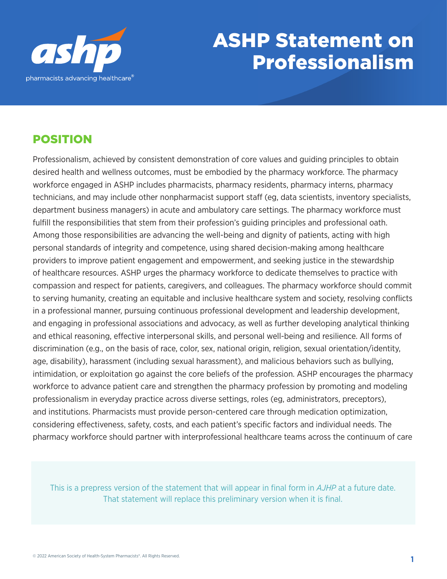

# ASHP Statement on ASHP Statement on Professionalism Professionalism

## POSITION

Professionalism, achieved by consistent demonstration of core values and guiding principles to obtain desired health and wellness outcomes, must be embodied by the pharmacy workforce. The pharmacy workforce engaged in ASHP includes pharmacists, pharmacy residents, pharmacy interns, pharmacy technicians, and may include other nonpharmacist support staff (eg, data scientists, inventory specialists, department business managers) in acute and ambulatory care settings. The pharmacy workforce must fulfill the responsibilities that stem from their profession's guiding principles and professional oath. Among those responsibilities are advancing the well-being and dignity of patients, acting with high personal standards of integrity and competence, using shared decision-making among healthcare providers to improve patient engagement and empowerment, and seeking justice in the stewardship of healthcare resources. ASHP urges the pharmacy workforce to dedicate themselves to practice with compassion and respect for patients, caregivers, and colleagues. The pharmacy workforce should commit to serving humanity, creating an equitable and inclusive healthcare system and society, resolving conflicts in a professional manner, pursuing continuous professional development and leadership development, and engaging in professional associations and advocacy, as well as further developing analytical thinking and ethical reasoning, effective interpersonal skills, and personal well-being and resilience. All forms of discrimination (e.g., on the basis of race, color, sex, national origin, religion, sexual orientation/identity, age, disability), harassment (including sexual harassment), and malicious behaviors such as bullying, intimidation, or exploitation go against the core beliefs of the profession. ASHP encourages the pharmacy workforce to advance patient care and strengthen the pharmacy profession by promoting and modeling professionalism in everyday practice across diverse settings, roles (eg, administrators, preceptors), and institutions. Pharmacists must provide person-centered care through medication optimization, considering effectiveness, safety, costs, and each patient's specific factors and individual needs. The pharmacy workforce should partner with interprofessional healthcare teams across the continuum of care

This is a prepress version of the statement that will appear in final form in *AJHP* at a future date. That statement will replace this preliminary version when it is final.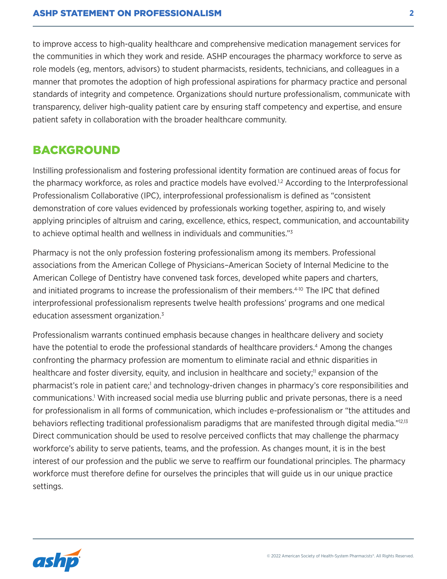to improve access to high-quality healthcare and comprehensive medication management services for the communities in which they work and reside. ASHP encourages the pharmacy workforce to serve as role models (eg, mentors, advisors) to student pharmacists, residents, technicians, and colleagues in a manner that promotes the adoption of high professional aspirations for pharmacy practice and personal standards of integrity and competence. Organizations should nurture professionalism, communicate with transparency, deliver high-quality patient care by ensuring staff competency and expertise, and ensure patient safety in collaboration with the broader healthcare community.

#### BACKGROUND

Instilling professionalism and fostering professional identity formation are continued areas of focus for the pharmacy workforce, as roles and practice models have evolved.<sup>1,2</sup> According to the Interprofessional Professionalism Collaborative (IPC), interprofessional professionalism is defined as "consistent demonstration of core values evidenced by professionals working together, aspiring to, and wisely applying principles of altruism and caring, excellence, ethics, respect, communication, and accountability to achieve optimal health and wellness in individuals and communities."3

Pharmacy is not the only profession fostering professionalism among its members. Professional associations from the American College of Physicians–American Society of Internal Medicine to the American College of Dentistry have convened task forces, developed white papers and charters, and initiated programs to increase the professionalism of their members.<sup>4-10</sup> The IPC that defined interprofessional professionalism represents twelve health professions' programs and one medical education assessment organization.<sup>3</sup>

Professionalism warrants continued emphasis because changes in healthcare delivery and society have the potential to erode the professional standards of healthcare providers.<sup>4</sup> Among the changes confronting the pharmacy profession are momentum to eliminate racial and ethnic disparities in healthcare and foster diversity, equity, and inclusion in healthcare and society;<sup>11</sup> expansion of the pharmacist's role in patient care;<sup>1</sup> and technology-driven changes in pharmacy's core responsibilities and communications.1 With increased social media use blurring public and private personas, there is a need for professionalism in all forms of communication, which includes e-professionalism or "the attitudes and behaviors reflecting traditional professionalism paradigms that are manifested through digital media."12,13 Direct communication should be used to resolve perceived conflicts that may challenge the pharmacy workforce's ability to serve patients, teams, and the profession. As changes mount, it is in the best interest of our profession and the public we serve to reaffirm our foundational principles. The pharmacy workforce must therefore define for ourselves the principles that will guide us in our unique practice settings.

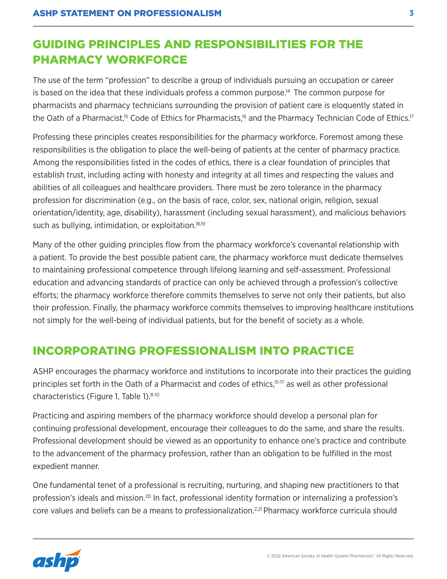## GUIDING PRINCIPLES AND RESPONSIBILITIES FOR THE PHARMACY WORKFORCE

The use of the term "profession" to describe a group of individuals pursuing an occupation or career is based on the idea that these individuals profess a common purpose.14 The common purpose for pharmacists and pharmacy technicians surrounding the provision of patient care is eloquently stated in the Oath of a Pharmacist,<sup>15</sup> Code of Ethics for Pharmacists,<sup>16</sup> and the Pharmacy Technician Code of Ethics.<sup>17</sup>

Professing these principles creates responsibilities for the pharmacy workforce. Foremost among these responsibilities is the obligation to place the well-being of patients at the center of pharmacy practice. Among the responsibilities listed in the codes of ethics, there is a clear foundation of principles that establish trust, including acting with honesty and integrity at all times and respecting the values and abilities of all colleagues and healthcare providers. There must be zero tolerance in the pharmacy profession for discrimination (e.g., on the basis of race, color, sex, national origin, religion, sexual orientation/identity, age, disability), harassment (including sexual harassment), and malicious behaviors such as bullying, intimidation, or exploitation.<sup>18,19</sup>

Many of the other guiding principles flow from the pharmacy workforce's covenantal relationship with a patient. To provide the best possible patient care, the pharmacy workforce must dedicate themselves to maintaining professional competence through lifelong learning and self-assessment. Professional education and advancing standards of practice can only be achieved through a profession's collective efforts; the pharmacy workforce therefore commits themselves to serve not only their patients, but also their profession. Finally, the pharmacy workforce commits themselves to improving healthcare institutions not simply for the well-being of individual patients, but for the benefit of society as a whole.

## INCORPORATING PROFESSIONALISM INTO PRACTICE

ASHP encourages the pharmacy workforce and institutions to incorporate into their practices the guiding principles set forth in the Oath of a Pharmacist and codes of ethics,<sup>15-17</sup> as well as other professional characteristics (Figure 1, Table 1).<sup>8-10</sup>

Practicing and aspiring members of the pharmacy workforce should develop a personal plan for continuing professional development, encourage their colleagues to do the same, and share the results. Professional development should be viewed as an opportunity to enhance one's practice and contribute to the advancement of the pharmacy profession, rather than an obligation to be fulfilled in the most expedient manner.

One fundamental tenet of a professional is recruiting, nurturing, and shaping new practitioners to that profession's ideals and mission.<sup>20</sup> In fact, professional identity formation or internalizing a profession's core values and beliefs can be a means to professionalization.<sup>2,21</sup> Pharmacy workforce curricula should

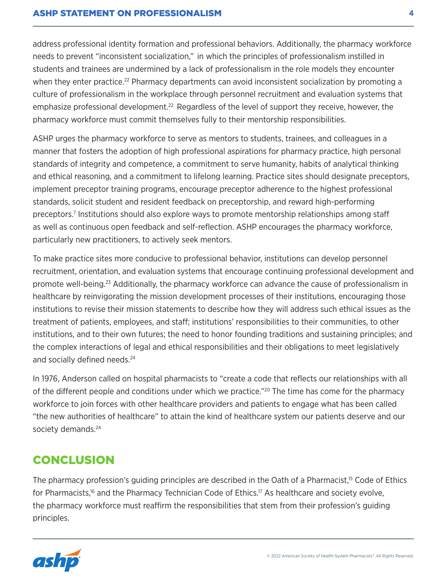#### ASHP STATEMENT ON PROFESSIONALISM **4**

address professional identity formation and professional behaviors. Additionally, the pharmacy workforce needs to prevent "inconsistent socialization," in which the principles of professionalism instilled in students and trainees are undermined by a lack of professionalism in the role models they encounter when they enter practice.<sup>22</sup> Pharmacy departments can avoid inconsistent socialization by promoting a culture of professionalism in the workplace through personnel recruitment and evaluation systems that emphasize professional development.<sup>22</sup> Regardless of the level of support they receive, however, the pharmacy workforce must commit themselves fully to their mentorship responsibilities.

ASHP urges the pharmacy workforce to serve as mentors to students, trainees, and colleagues in a manner that fosters the adoption of high professional aspirations for pharmacy practice, high personal standards of integrity and competence, a commitment to serve humanity, habits of analytical thinking and ethical reasoning, and a commitment to lifelong learning. Practice sites should designate preceptors, implement preceptor training programs, encourage preceptor adherence to the highest professional standards, solicit student and resident feedback on preceptorship, and reward high-performing preceptors.<sup>7</sup> Institutions should also explore ways to promote mentorship relationships among staff as well as continuous open feedback and self-reflection. ASHP encourages the pharmacy workforce, particularly new practitioners, to actively seek mentors.

To make practice sites more conducive to professional behavior, institutions can develop personnel recruitment, orientation, and evaluation systems that encourage continuing professional development and promote well-being.23 Additionally, the pharmacy workforce can advance the cause of professionalism in healthcare by reinvigorating the mission development processes of their institutions, encouraging those institutions to revise their mission statements to describe how they will address such ethical issues as the treatment of patients, employees, and staff; institutions' responsibilities to their communities, to other institutions, and to their own futures; the need to honor founding traditions and sustaining principles; and the complex interactions of legal and ethical responsibilities and their obligations to meet legislatively and socially defined needs.<sup>24</sup>

In 1976, Anderson called on hospital pharmacists to "create a code that reflects our relationships with all of the different people and conditions under which we practice."<sup>20</sup> The time has come for the pharmacy workforce to join forces with other healthcare providers and patients to engage what has been called "the new authorities of healthcare" to attain the kind of healthcare system our patients deserve and our society demands.<sup>24</sup>

#### **CONCLUSION**

The pharmacy profession's guiding principles are described in the Oath of a Pharmacist,<sup>15</sup> Code of Ethics for Pharmacists,<sup>16</sup> and the Pharmacy Technician Code of Ethics.<sup>17</sup> As healthcare and society evolve, the pharmacy workforce must reaffirm the responsibilities that stem from their profession's guiding principles.

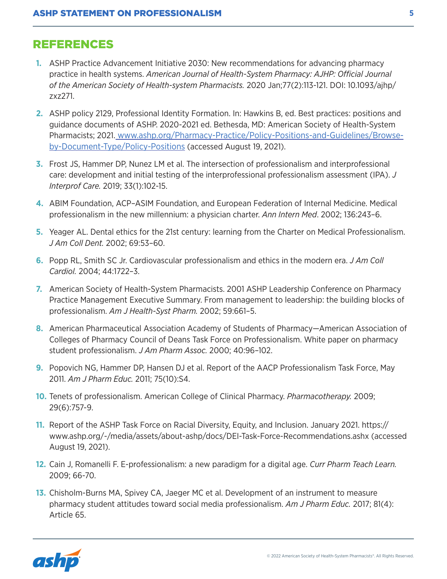#### REFERENCES

- **1.** ASHP Practice Advancement Initiative 2030: New recommendations for advancing pharmacy practice in health systems. *American Journal of Health-System Pharmacy: AJHP: Official Journal of the American Society of Health-system Pharmacists.* 2020 Jan;77(2):113-121. DOI: 10.1093/ajhp/ zxz271.
- **2.** ASHP policy 2129, Professional Identity Formation. In: Hawkins B, ed. Best practices: positions and guidance documents of ASHP. 2020-2021 ed. Bethesda, MD: American Society of Health-System Pharmacists; 2021. [www.ashp.org/Pharmacy-Practice/Policy-Positions-and-Guidelines/Browse](http://www.ashp.org/Pharmacy-Practice/Policy-Positions-and-Guidelines/Browse-by-Document-Type/Policy-Positions)[by-Document-Type/Policy-Positions](http://www.ashp.org/Pharmacy-Practice/Policy-Positions-and-Guidelines/Browse-by-Document-Type/Policy-Positions) (accessed August 19, 2021).
- **3.** Frost JS, Hammer DP, Nunez LM et al. The intersection of professionalism and interprofessional care: development and initial testing of the interprofessional professionalism assessment (IPA). *J Interprof Care.* 2019; 33(1):102-15.
- **4.** ABIM Foundation, ACP–ASIM Foundation, and European Federation of Internal Medicine. Medical professionalism in the new millennium: a physician charter. *Ann Intern Med*. 2002; 136:243–6.
- **5.** Yeager AL. Dental ethics for the 21st century: learning from the Charter on Medical Professionalism. *J Am Coll Dent.* 2002; 69:53–60.
- **6.** Popp RL, Smith SC Jr. Cardiovascular professionalism and ethics in the modern era. *J Am Coll Cardiol.* 2004; 44:1722–3.
- **7.** American Society of Health-System Pharmacists. 2001 ASHP Leadership Conference on Pharmacy Practice Management Executive Summary. From management to leadership: the building blocks of professionalism. *Am J Health-Syst Pharm.* 2002; 59:661–5.
- **8.** American Pharmaceutical Association Academy of Students of Pharmacy—American Association of Colleges of Pharmacy Council of Deans Task Force on Professionalism. White paper on pharmacy student professionalism. *J Am Pharm Assoc.* 2000; 40:96–102.
- **9.** Popovich NG, Hammer DP, Hansen DJ et al. Report of the AACP Professionalism Task Force, May 2011. *Am J Pharm Educ.* 2011; 75(10):S4.
- **10.** Tenets of professionalism. American College of Clinical Pharmacy. *Pharmacotherapy.* 2009; 29(6):757-9.
- **11.** Report of the ASHP Task Force on Racial Diversity, Equity, and Inclusion. January 2021. [https://](https://www.ashp.org/-/media/assets/about-ashp/docs/DEI-Task-Force-Recommendations.ashx) [www.ashp.org/-/media/assets/about-ashp/docs/DEI-Task-Force-Recommendations.ashx](https://www.ashp.org/-/media/assets/about-ashp/docs/DEI-Task-Force-Recommendations.ashx) (accessed August 19, 2021).
- **12.** Cain J, Romanelli F. E-professionalism: a new paradigm for a digital age. *Curr Pharm Teach Learn.*  2009; 66-70.
- **13.** Chisholm-Burns MA, Spivey CA, Jaeger MC et al. Development of an instrument to measure pharmacy student attitudes toward social media professionalism. *Am J Pharm Educ.* 2017; 81(4): Article 65.

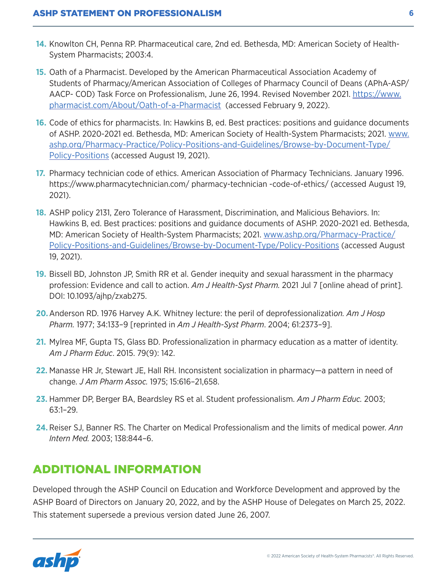- **14.** Knowlton CH, Penna RP. Pharmaceutical care, 2nd ed. Bethesda, MD: American Society of Health-System Pharmacists; 2003:4.
- **15.** Oath of a Pharmacist. Developed by the American Pharmaceutical Association Academy of Students of Pharmacy/American Association of Colleges of Pharmacy Council of Deans (APhA-ASP/ AACP- COD) Task Force on Professionalism, June 26, 1994. Revised November 2021. [https://www.](https://www.pharmacist.com/About/Oath-of-a-Pharmacist) [pharmacist.com/About/Oath-of-a-Pharmacist](https://www.pharmacist.com/About/Oath-of-a-Pharmacist) (accessed February 9, 2022).
- **16.** Code of ethics for pharmacists. In: Hawkins B, ed. Best practices: positions and guidance documents of ASHP. 2020-2021 ed. Bethesda, MD: American Society of Health-System Pharmacists; 2021. [www.](http://www.ashp.org/Pharmacy-Practice/Policy-Positions-and-Guidelines/Browse-by-Document-Type/Policy-Positions) [ashp.org/Pharmacy-Practice/Policy-Positions-and-Guidelines/Browse-by-Document-Type/](http://www.ashp.org/Pharmacy-Practice/Policy-Positions-and-Guidelines/Browse-by-Document-Type/Policy-Positions) [Policy-Positions](http://www.ashp.org/Pharmacy-Practice/Policy-Positions-and-Guidelines/Browse-by-Document-Type/Policy-Positions) (accessed August 19, 2021).
- **17.** Pharmacy technician code of ethics. American Association of Pharmacy Technicians. January 1996. [https://www.pharmacytechnician.com/ pharmacy-technician -code-of-ethics/](https://www.pharmacytechnician.com/pharmacy-technician-code-of-ethics/) (accessed August 19, 2021).
- **18.** ASHP policy 2131, Zero Tolerance of Harassment, Discrimination, and Malicious Behaviors. In: Hawkins B, ed. Best practices: positions and guidance documents of ASHP. 2020-2021 ed. Bethesda, MD: American Society of Health-System Pharmacists; 2021. [www.ashp.org/Pharmacy-Practice/](http://www.ashp.org/Pharmacy-Practice/Policy-Positions-and-Guidelines/Browse-by-Document-Type/Policy-Positions) [Policy-Positions-and-Guidelines/Browse-by-Document-Type/Policy-Positions](http://www.ashp.org/Pharmacy-Practice/Policy-Positions-and-Guidelines/Browse-by-Document-Type/Policy-Positions) (accessed August 19, 2021).
- **19.** Bissell BD, Johnston JP, Smith RR et al. Gender inequity and sexual harassment in the pharmacy profession: Evidence and call to action. *Am J Health-Syst Pharm.* 2021 Jul 7 [online ahead of print]. DOI: 10.1093/ajhp/zxab275.
- **20.**Anderson RD. 1976 Harvey A.K. Whitney lecture: the peril of deprofessionalizati*on. Am J Hosp Pharm.* 1977; 34:133–9 [reprinted in *Am J Health-Syst Pharm*. 2004; 61:2373–9].
- **21.** Mylrea MF, Gupta TS, Glass BD. Professionalization in pharmacy education as a matter of identity. *Am J Pharm Educ*. 2015. 79(9): 142.
- **22.** Manasse HR Jr, Stewart JE, Hall RH. Inconsistent socialization in pharmacy—a pattern in need of change. *J Am Pharm Assoc.* 1975; 15:616–21,658.
- **23.** Hammer DP, Berger BA, Beardsley RS et al. Student professionalism. *Am J Pharm Educ.* 2003; 63:1–29.
- **24.** Reiser SJ, Banner RS. The Charter on Medical Professionalism and the limits of medical power. *Ann Intern Med.* 2003; 138:844–6.

## ADDITIONAL INFORMATION

Developed through the ASHP Council on Education and Workforce Development and approved by the ASHP Board of Directors on January 20, 2022, and by the ASHP House of Delegates on March 25, 2022. This statement supersede a previous version dated June 26, 2007.

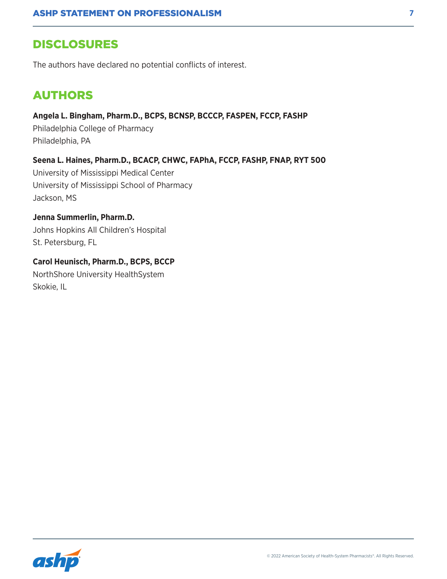#### DISCLOSURES

The authors have declared no potential conflicts of interest.

#### AUTHORS

**Angela L. Bingham, Pharm.D., BCPS, BCNSP, BCCCP, FASPEN, FCCP, FASHP**

Philadelphia College of Pharmacy Philadelphia, PA

**Seena L. Haines, Pharm.D., BCACP, CHWC, FAPhA, FCCP, FASHP, FNAP, RYT 500**

University of Mississippi Medical Center University of Mississippi School of Pharmacy Jackson, MS

**Jenna Summerlin, Pharm.D.** Johns Hopkins All Children's Hospital St. Petersburg, FL

**Carol Heunisch, Pharm.D., BCPS, BCCP** NorthShore University HealthSystem Skokie, IL

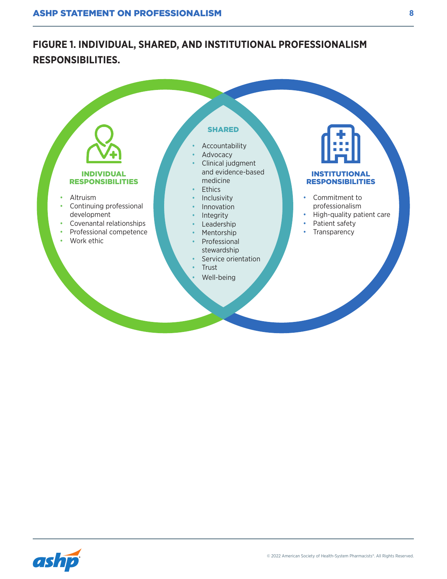## Individual, Shared, and Institutional Professionalism Responsibilities **RESPONSIBILITIES. FIGURE 1. INDIVIDUAL, SHARED, AND INSTITUTIONAL PROFESSIONALISM**